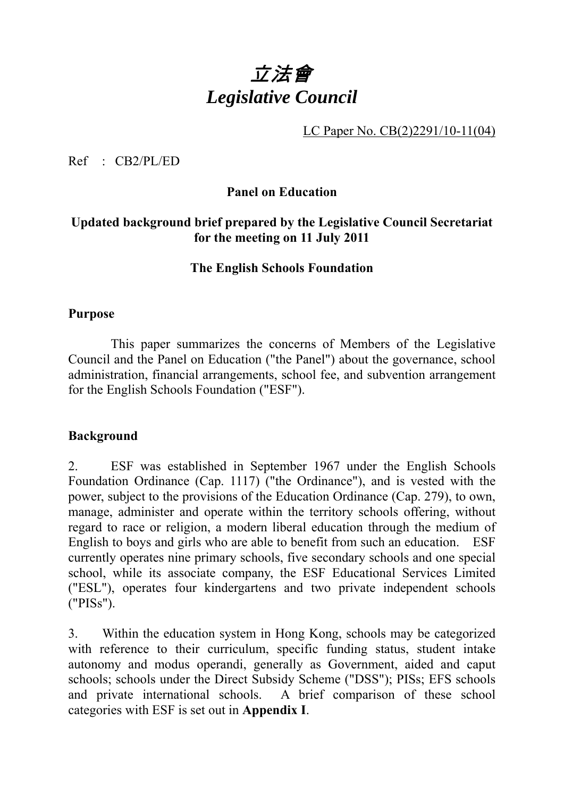# 立法會 *Legislative Council*

LC Paper No. CB(2)2291/10-11(04)

Ref : CB2/PL/ED

# **Panel on Education**

# **Updated background brief prepared by the Legislative Council Secretariat for the meeting on 11 July 2011**

#### **The English Schools Foundation**

#### **Purpose**

1 This paper summarizes the concerns of Members of the Legislative Council and the Panel on Education ("the Panel") about the governance, school administration, financial arrangements, school fee, and subvention arrangement for the English Schools Foundation ("ESF").

#### **Background**

2. ESF was established in September 1967 under the English Schools Foundation Ordinance (Cap. 1117) ("the Ordinance"), and is vested with the power, subject to the provisions of the Education Ordinance (Cap. 279), to own, manage, administer and operate within the territory schools offering, without regard to race or religion, a modern liberal education through the medium of English to boys and girls who are able to benefit from such an education. ESF currently operates nine primary schools, five secondary schools and one special school, while its associate company, the ESF Educational Services Limited ("ESL"), operates four kindergartens and two private independent schools ("PISs").

3. Within the education system in Hong Kong, schools may be categorized with reference to their curriculum, specific funding status, student intake autonomy and modus operandi, generally as Government, aided and caput schools; schools under the Direct Subsidy Scheme ("DSS"); PISs; EFS schools and private international schools. A brief comparison of these school categories with ESF is set out in **Appendix I**.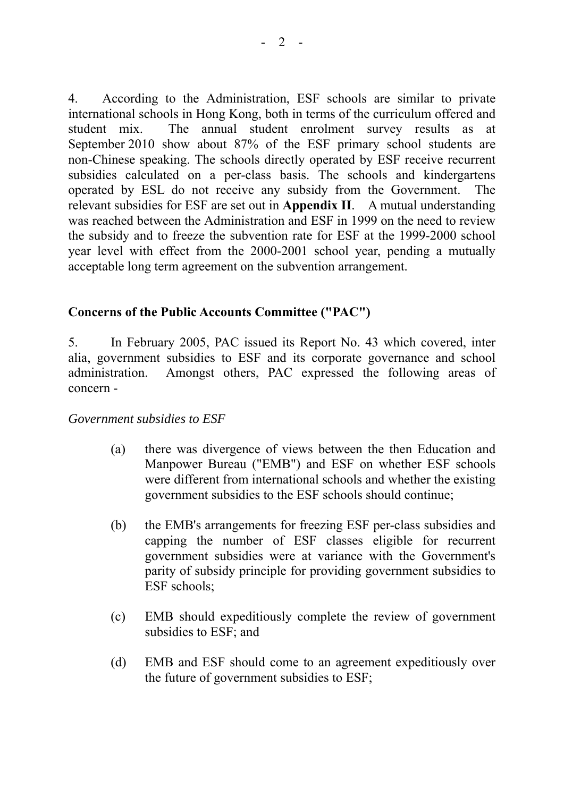4. According to the Administration, ESF schools are similar to private international schools in Hong Kong, both in terms of the curriculum offered and student mix. The annual student enrolment survey results as at September 2010 show about 87% of the ESF primary school students are non-Chinese speaking. The schools directly operated by ESF receive recurrent subsidies calculated on a per-class basis. The schools and kindergartens operated by ESL do not receive any subsidy from the Government. The relevant subsidies for ESF are set out in **Appendix II**. A mutual understanding was reached between the Administration and ESF in 1999 on the need to review the subsidy and to freeze the subvention rate for ESF at the 1999-2000 school year level with effect from the 2000-2001 school year, pending a mutually acceptable long term agreement on the subvention arrangement.

## **Concerns of the Public Accounts Committee ("PAC")**

5. In February 2005, PAC issued its Report No. 43 which covered, inter alia, government subsidies to ESF and its corporate governance and school administration. Amongst others, PAC expressed the following areas of concern -

#### *Government subsidies to ESF*

- (a) there was divergence of views between the then Education and Manpower Bureau ("EMB") and ESF on whether ESF schools were different from international schools and whether the existing government subsidies to the ESF schools should continue;
- (b) the EMB's arrangements for freezing ESF per-class subsidies and capping the number of ESF classes eligible for recurrent government subsidies were at variance with the Government's parity of subsidy principle for providing government subsidies to ESF schools;
- (c) EMB should expeditiously complete the review of government subsidies to ESF; and
- (d) EMB and ESF should come to an agreement expeditiously over the future of government subsidies to ESF;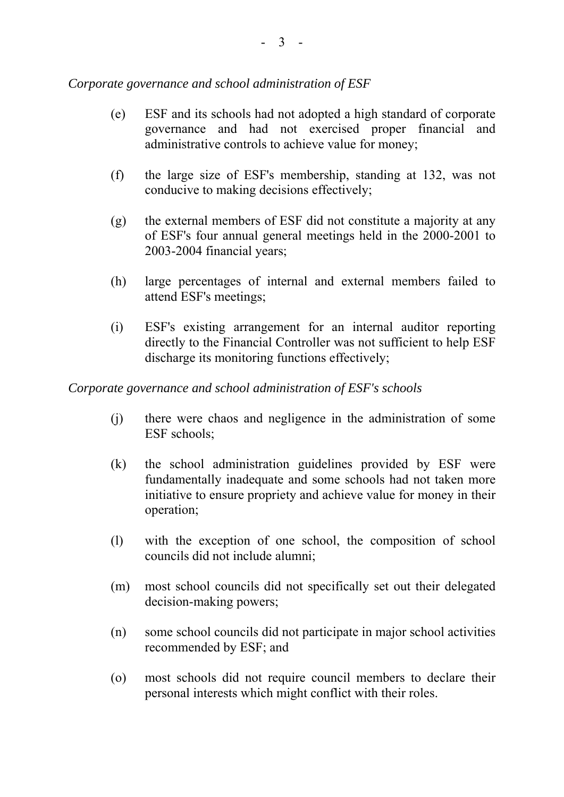#### *Corporate governance and school administration of ESF*

- (e) ESF and its schools had not adopted a high standard of corporate governance and had not exercised proper financial and administrative controls to achieve value for money;
- (f) the large size of ESF's membership, standing at 132, was not conducive to making decisions effectively;
- (g) the external members of ESF did not constitute a majority at any of ESF's four annual general meetings held in the 2000-2001 to 2003-2004 financial years;
- (h) large percentages of internal and external members failed to attend ESF's meetings;
- (i) ESF's existing arrangement for an internal auditor reporting directly to the Financial Controller was not sufficient to help ESF discharge its monitoring functions effectively;

#### *Corporate governance and school administration of ESF's schools*

- (j) there were chaos and negligence in the administration of some ESF schools:
- (k) the school administration guidelines provided by ESF were fundamentally inadequate and some schools had not taken more initiative to ensure propriety and achieve value for money in their operation;
- (l) with the exception of one school, the composition of school councils did not include alumni;
- (m) most school councils did not specifically set out their delegated decision-making powers;
- (n) some school councils did not participate in major school activities recommended by ESF; and
- (o) most schools did not require council members to declare their personal interests which might conflict with their roles.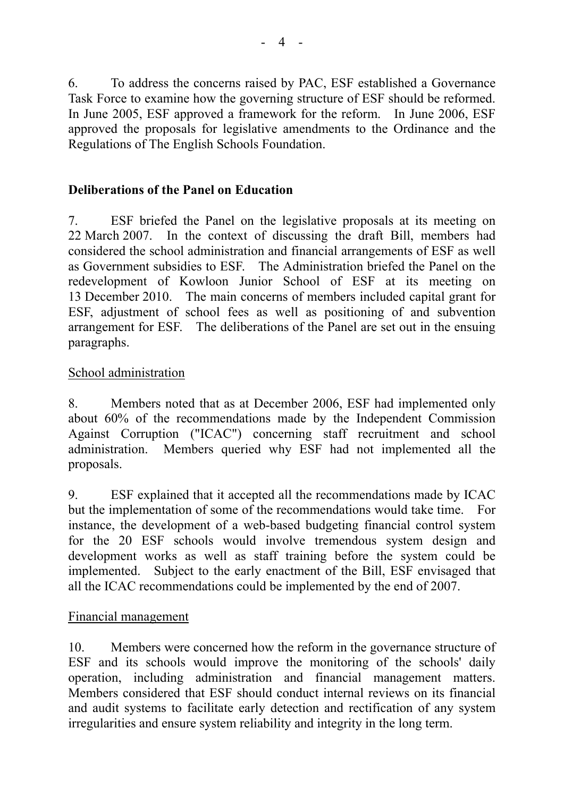6. To address the concerns raised by PAC, ESF established a Governance Task Force to examine how the governing structure of ESF should be reformed. In June 2005, ESF approved a framework for the reform. In June 2006, ESF approved the proposals for legislative amendments to the Ordinance and the Regulations of The English Schools Foundation.

## **Deliberations of the Panel on Education**

7. ESF briefed the Panel on the legislative proposals at its meeting on 22 March 2007. In the context of discussing the draft Bill, members had considered the school administration and financial arrangements of ESF as well as Government subsidies to ESF. The Administration briefed the Panel on the redevelopment of Kowloon Junior School of ESF at its meeting on 13 December 2010. The main concerns of members included capital grant for ESF, adjustment of school fees as well as positioning of and subvention arrangement for ESF. The deliberations of the Panel are set out in the ensuing paragraphs.

#### School administration

8. Members noted that as at December 2006, ESF had implemented only about 60% of the recommendations made by the Independent Commission Against Corruption ("ICAC") concerning staff recruitment and school administration. Members queried why ESF had not implemented all the proposals.

9. ESF explained that it accepted all the recommendations made by ICAC but the implementation of some of the recommendations would take time. For instance, the development of a web-based budgeting financial control system for the 20 ESF schools would involve tremendous system design and development works as well as staff training before the system could be implemented. Subject to the early enactment of the Bill, ESF envisaged that all the ICAC recommendations could be implemented by the end of 2007.

#### Financial management

10. Members were concerned how the reform in the governance structure of ESF and its schools would improve the monitoring of the schools' daily operation, including administration and financial management matters. Members considered that ESF should conduct internal reviews on its financial and audit systems to facilitate early detection and rectification of any system irregularities and ensure system reliability and integrity in the long term.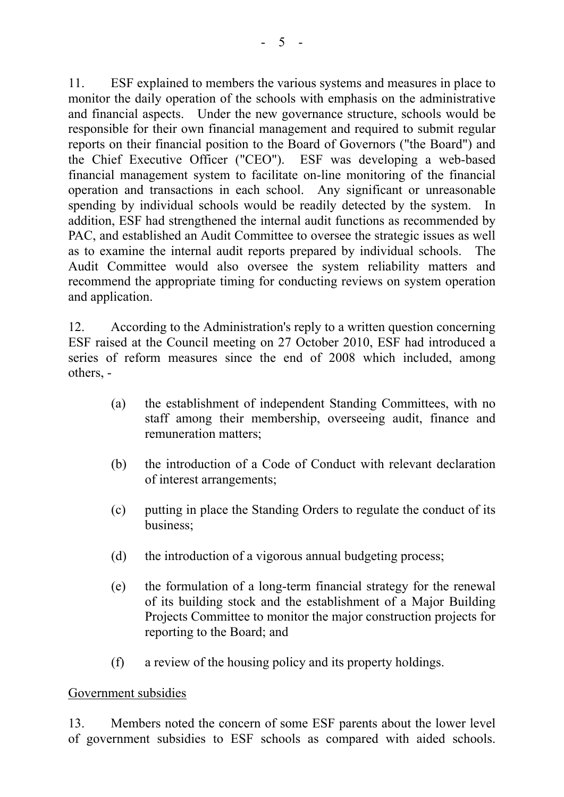11. ESF explained to members the various systems and measures in place to monitor the daily operation of the schools with emphasis on the administrative and financial aspects. Under the new governance structure, schools would be responsible for their own financial management and required to submit regular reports on their financial position to the Board of Governors ("the Board") and the Chief Executive Officer ("CEO"). ESF was developing a web-based financial management system to facilitate on-line monitoring of the financial operation and transactions in each school. Any significant or unreasonable spending by individual schools would be readily detected by the system. In addition, ESF had strengthened the internal audit functions as recommended by PAC, and established an Audit Committee to oversee the strategic issues as well as to examine the internal audit reports prepared by individual schools. The Audit Committee would also oversee the system reliability matters and recommend the appropriate timing for conducting reviews on system operation and application.

12. According to the Administration's reply to a written question concerning ESF raised at the Council meeting on 27 October 2010, ESF had introduced a series of reform measures since the end of 2008 which included, among others, -

- (a) the establishment of independent Standing Committees, with no staff among their membership, overseeing audit, finance and remuneration matters;
- (b) the introduction of a Code of Conduct with relevant declaration of interest arrangements;
- (c) putting in place the Standing Orders to regulate the conduct of its business;
- (d) the introduction of a vigorous annual budgeting process;
- (e) the formulation of a long-term financial strategy for the renewal of its building stock and the establishment of a Major Building Projects Committee to monitor the major construction projects for reporting to the Board; and
- (f) a review of the housing policy and its property holdings.

#### Government subsidies

13. Members noted the concern of some ESF parents about the lower level of government subsidies to ESF schools as compared with aided schools.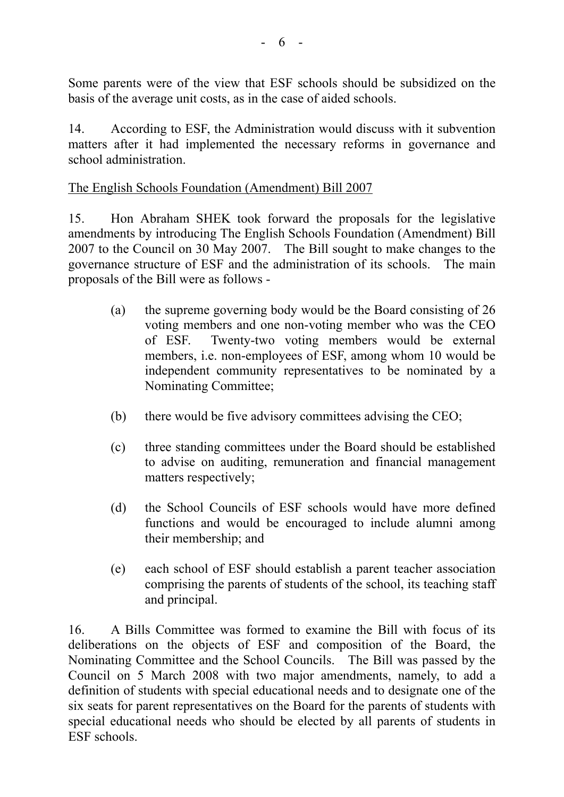Some parents were of the view that ESF schools should be subsidized on the basis of the average unit costs, as in the case of aided schools.

14. According to ESF, the Administration would discuss with it subvention matters after it had implemented the necessary reforms in governance and school administration.

#### The English Schools Foundation (Amendment) Bill 2007

15. Hon Abraham SHEK took forward the proposals for the legislative amendments by introducing The English Schools Foundation (Amendment) Bill 2007 to the Council on 30 May 2007. The Bill sought to make changes to the governance structure of ESF and the administration of its schools. The main proposals of the Bill were as follows -

- (a) the supreme governing body would be the Board consisting of 26 voting members and one non-voting member who was the CEO of ESF. Twenty-two voting members would be external members, i.e. non-employees of ESF, among whom 10 would be independent community representatives to be nominated by a Nominating Committee;
- (b) there would be five advisory committees advising the CEO;
- (c) three standing committees under the Board should be established to advise on auditing, remuneration and financial management matters respectively;
- (d) the School Councils of ESF schools would have more defined functions and would be encouraged to include alumni among their membership; and
- (e) each school of ESF should establish a parent teacher association comprising the parents of students of the school, its teaching staff and principal.

16. A Bills Committee was formed to examine the Bill with focus of its deliberations on the objects of ESF and composition of the Board, the Nominating Committee and the School Councils. The Bill was passed by the Council on 5 March 2008 with two major amendments, namely, to add a definition of students with special educational needs and to designate one of the six seats for parent representatives on the Board for the parents of students with special educational needs who should be elected by all parents of students in ESF schools.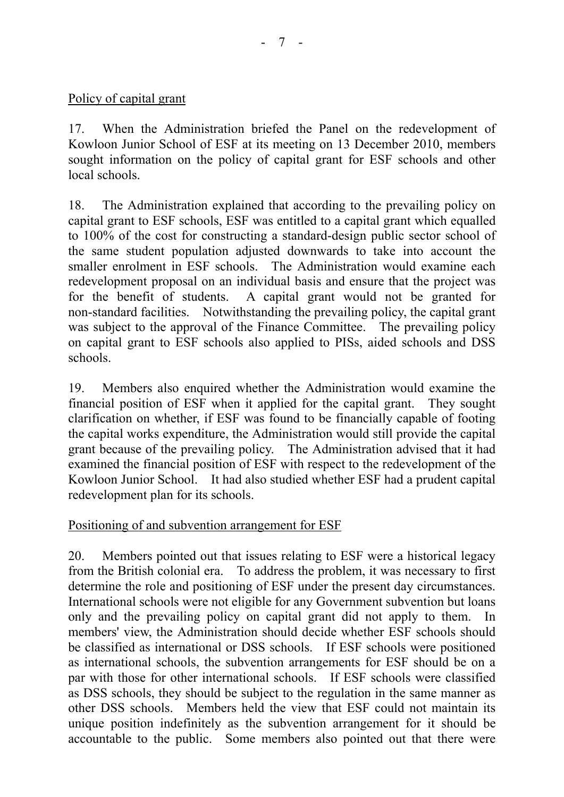# Policy of capital grant

17. When the Administration briefed the Panel on the redevelopment of Kowloon Junior School of ESF at its meeting on 13 December 2010, members sought information on the policy of capital grant for ESF schools and other local schools.

18. The Administration explained that according to the prevailing policy on capital grant to ESF schools, ESF was entitled to a capital grant which equalled to 100% of the cost for constructing a standard-design public sector school of the same student population adjusted downwards to take into account the smaller enrolment in ESF schools. The Administration would examine each redevelopment proposal on an individual basis and ensure that the project was for the benefit of students. A capital grant would not be granted for non-standard facilities. Notwithstanding the prevailing policy, the capital grant was subject to the approval of the Finance Committee. The prevailing policy on capital grant to ESF schools also applied to PISs, aided schools and DSS schools.

19. Members also enquired whether the Administration would examine the financial position of ESF when it applied for the capital grant. They sought clarification on whether, if ESF was found to be financially capable of footing the capital works expenditure, the Administration would still provide the capital grant because of the prevailing policy. The Administration advised that it had examined the financial position of ESF with respect to the redevelopment of the Kowloon Junior School. It had also studied whether ESF had a prudent capital redevelopment plan for its schools.

#### Positioning of and subvention arrangement for ESF

20. Members pointed out that issues relating to ESF were a historical legacy from the British colonial era. To address the problem, it was necessary to first determine the role and positioning of ESF under the present day circumstances. International schools were not eligible for any Government subvention but loans only and the prevailing policy on capital grant did not apply to them. In members' view, the Administration should decide whether ESF schools should be classified as international or DSS schools. If ESF schools were positioned as international schools, the subvention arrangements for ESF should be on a par with those for other international schools. If ESF schools were classified as DSS schools, they should be subject to the regulation in the same manner as other DSS schools. Members held the view that ESF could not maintain its unique position indefinitely as the subvention arrangement for it should be accountable to the public. Some members also pointed out that there were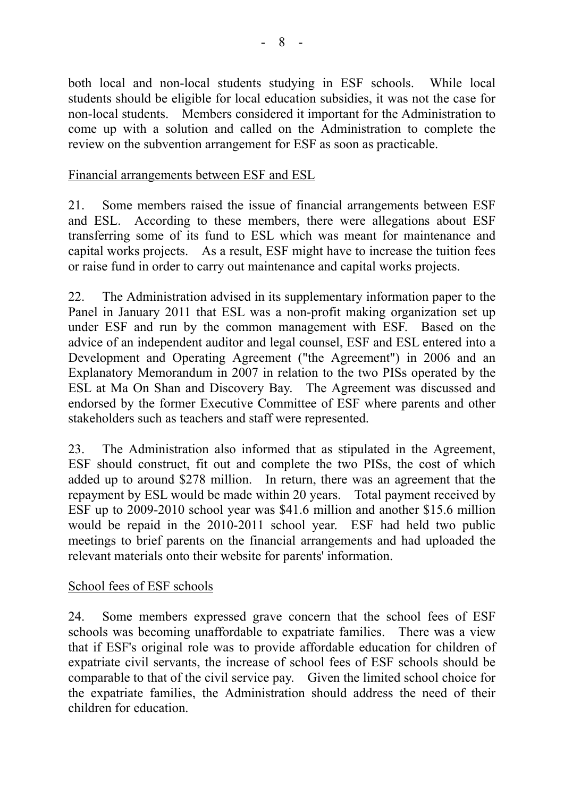both local and non-local students studying in ESF schools. While local students should be eligible for local education subsidies, it was not the case for non-local students. Members considered it important for the Administration to come up with a solution and called on the Administration to complete the review on the subvention arrangement for ESF as soon as practicable.

#### Financial arrangements between ESF and ESL

21. Some members raised the issue of financial arrangements between ESF and ESL. According to these members, there were allegations about ESF transferring some of its fund to ESL which was meant for maintenance and capital works projects. As a result, ESF might have to increase the tuition fees or raise fund in order to carry out maintenance and capital works projects.

22. The Administration advised in its supplementary information paper to the Panel in January 2011 that ESL was a non-profit making organization set up under ESF and run by the common management with ESF. Based on the advice of an independent auditor and legal counsel, ESF and ESL entered into a Development and Operating Agreement ("the Agreement") in 2006 and an Explanatory Memorandum in 2007 in relation to the two PISs operated by the ESL at Ma On Shan and Discovery Bay. The Agreement was discussed and endorsed by the former Executive Committee of ESF where parents and other stakeholders such as teachers and staff were represented.

23. The Administration also informed that as stipulated in the Agreement, ESF should construct, fit out and complete the two PISs, the cost of which added up to around \$278 million. In return, there was an agreement that the repayment by ESL would be made within 20 years. Total payment received by ESF up to 2009-2010 school year was \$41.6 million and another \$15.6 million would be repaid in the 2010-2011 school year. ESF had held two public meetings to brief parents on the financial arrangements and had uploaded the relevant materials onto their website for parents' information.

#### School fees of ESF schools

24. Some members expressed grave concern that the school fees of ESF schools was becoming unaffordable to expatriate families. There was a view that if ESF's original role was to provide affordable education for children of expatriate civil servants, the increase of school fees of ESF schools should be comparable to that of the civil service pay. Given the limited school choice for the expatriate families, the Administration should address the need of their children for education.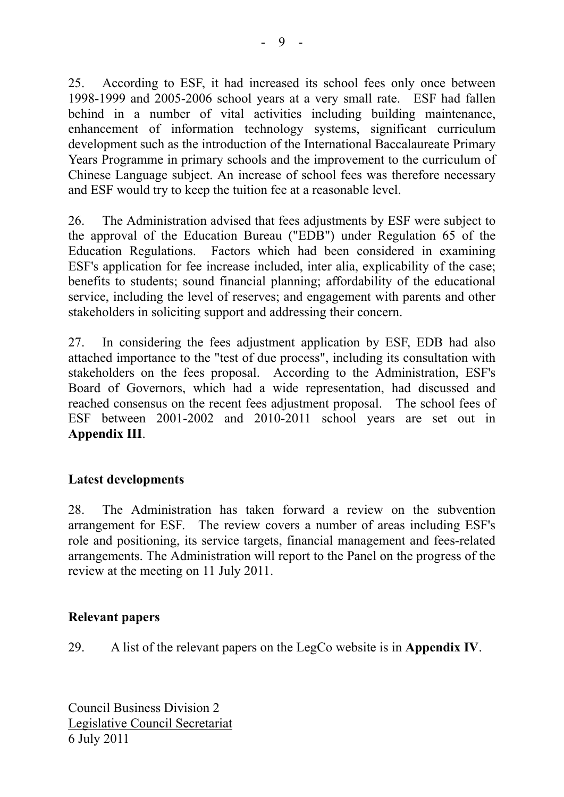25. According to ESF, it had increased its school fees only once between 1998-1999 and 2005-2006 school years at a very small rate. ESF had fallen behind in a number of vital activities including building maintenance, enhancement of information technology systems, significant curriculum development such as the introduction of the International Baccalaureate Primary Years Programme in primary schools and the improvement to the curriculum of Chinese Language subject. An increase of school fees was therefore necessary and ESF would try to keep the tuition fee at a reasonable level.

26. The Administration advised that fees adjustments by ESF were subject to the approval of the Education Bureau ("EDB") under Regulation 65 of the Education Regulations. Factors which had been considered in examining ESF's application for fee increase included, inter alia, explicability of the case; benefits to students; sound financial planning; affordability of the educational service, including the level of reserves; and engagement with parents and other stakeholders in soliciting support and addressing their concern.

27. In considering the fees adjustment application by ESF, EDB had also attached importance to the "test of due process", including its consultation with stakeholders on the fees proposal. According to the Administration, ESF's Board of Governors, which had a wide representation, had discussed and reached consensus on the recent fees adjustment proposal. The school fees of ESF between 2001-2002 and 2010-2011 school years are set out in **Appendix III**.

#### **Latest developments**

28. The Administration has taken forward a review on the subvention arrangement for ESF. The review covers a number of areas including ESF's role and positioning, its service targets, financial management and fees-related arrangements. The Administration will report to the Panel on the progress of the review at the meeting on 11 July 2011.

#### **Relevant papers**

29. A list of the relevant papers on the LegCo website is in **Appendix IV**.

Council Business Division 2 Legislative Council Secretariat 6 July 2011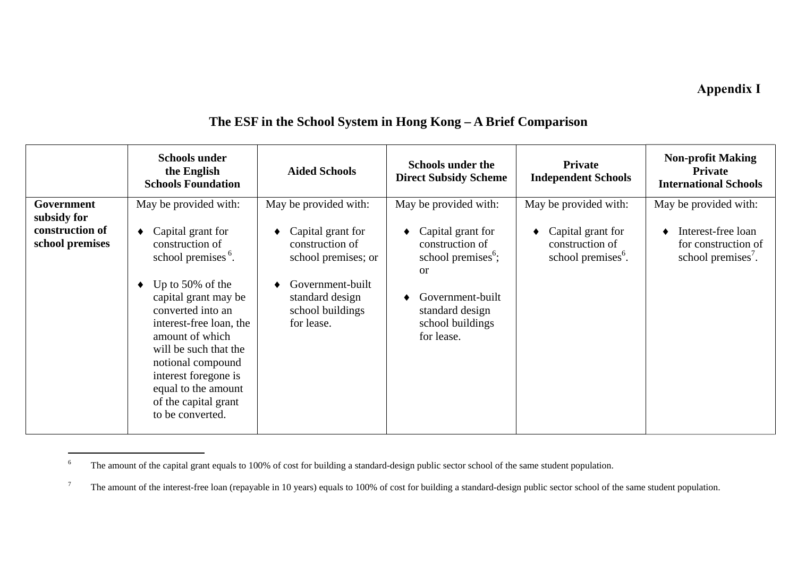# **Annex D Appendix I**

|                                    | <b>Schools under</b><br>the English<br><b>Schools Foundation</b>                                                                                                                                                                                                                                                                  | <b>Aided Schools</b>                                                                                                                 | <b>Schools under the</b><br><b>Direct Subsidy Scheme</b>                                                                                                         | Private<br><b>Independent Schools</b>                                  | <b>Non-profit Making</b><br><b>Private</b><br><b>International Schools</b>  |
|------------------------------------|-----------------------------------------------------------------------------------------------------------------------------------------------------------------------------------------------------------------------------------------------------------------------------------------------------------------------------------|--------------------------------------------------------------------------------------------------------------------------------------|------------------------------------------------------------------------------------------------------------------------------------------------------------------|------------------------------------------------------------------------|-----------------------------------------------------------------------------|
| Government<br>subsidy for          | May be provided with:                                                                                                                                                                                                                                                                                                             | May be provided with:                                                                                                                | May be provided with:                                                                                                                                            | May be provided with:                                                  | May be provided with:                                                       |
| construction of<br>school premises | Capital grant for<br>construction of<br>school premises <sup>6</sup> .<br>Up to $50\%$ of the<br>capital grant may be<br>converted into an<br>interest-free loan, the<br>amount of which<br>will be such that the<br>notional compound<br>interest foregone is<br>equal to the amount<br>of the capital grant<br>to be converted. | Capital grant for<br>construction of<br>school premises; or<br>Government-built<br>standard design<br>school buildings<br>for lease. | Capital grant for<br>construction of<br>school premises <sup>6</sup> ;<br><sub>or</sub><br>Government-built<br>standard design<br>school buildings<br>for lease. | Capital grant for<br>construction of<br>school premises <sup>6</sup> . | Interest-free loan<br>for construction of<br>school premises <sup>7</sup> . |

# **The ESF in the School System in Hong Kong – A Brief Comparison**

<sup>&</sup>lt;sup>6</sup> The amount of the capital grant equals to 100% of cost for building a standard-design public sector school of the same student population.

<span id="page-9-1"></span><span id="page-9-0"></span><sup>&</sup>lt;sup>7</sup> The amount of the interest-free loan (repayable in 10 years) equals to 100% of cost for building a standard-design public sector school of the same student population.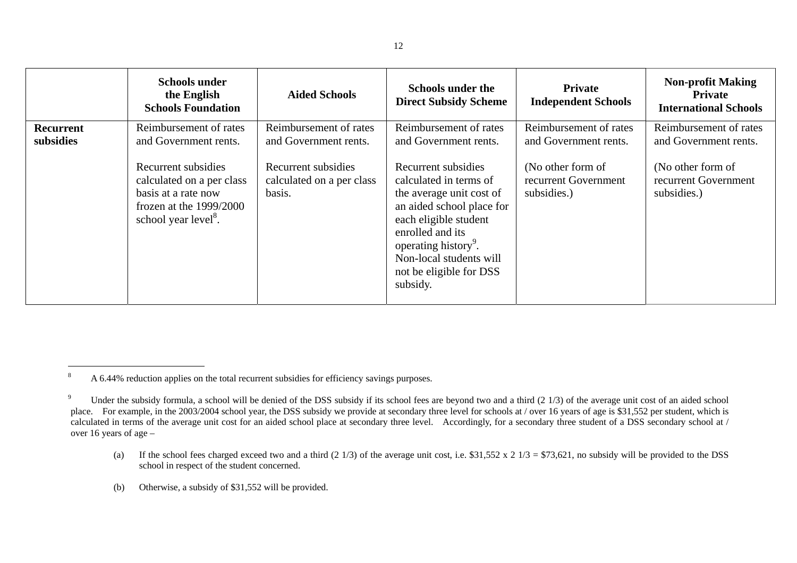|                        | <b>Schools under</b><br>the English<br><b>Schools Foundation</b>                                                                         | <b>Aided Schools</b>                                       | <b>Schools under the</b><br><b>Direct Subsidy Scheme</b>                                                                                                                                                                                                  | <b>Private</b><br><b>Independent Schools</b>             | <b>Non-profit Making</b><br><b>Private</b><br><b>International Schools</b> |
|------------------------|------------------------------------------------------------------------------------------------------------------------------------------|------------------------------------------------------------|-----------------------------------------------------------------------------------------------------------------------------------------------------------------------------------------------------------------------------------------------------------|----------------------------------------------------------|----------------------------------------------------------------------------|
| Recurrent<br>subsidies | Reimbursement of rates<br>and Government rents.                                                                                          | Reimbursement of rates<br>and Government rents.            | Reimbursement of rates<br>and Government rents.                                                                                                                                                                                                           | Reimbursement of rates<br>and Government rents.          | Reimbursement of rates<br>and Government rents.                            |
|                        | Recurrent subsidies<br>calculated on a per class<br>basis at a rate now<br>frozen at the $1999/2000$<br>school year level <sup>8</sup> . | Recurrent subsidies<br>calculated on a per class<br>basis. | Recurrent subsidies<br>calculated in terms of<br>the average unit cost of<br>an aided school place for<br>each eligible student<br>enrolled and its<br>operating history <sup>9</sup> .<br>Non-local students will<br>not be eligible for DSS<br>subsidy. | (No other form of<br>recurrent Government<br>subsidies.) | (No other form of<br>recurrent Government<br>subsidies.)                   |

- <span id="page-10-0"></span>(a) If the school fees charged exceed two and a third  $(2\frac{1}{3})$  of the average unit cost, i.e. \$31,552 x 2  $1/3 = $73,621$ , no subsidy will be provided to the DSS school in respect of the student concerned.
- <span id="page-10-1"></span>(b) Otherwise, a subsidy of \$31,552 will be provided.

<sup>&</sup>lt;sup>8</sup> A 6.44% reduction applies on the total recurrent subsidies for efficiency savings purposes.

<sup>&</sup>lt;sup>9</sup> Under the subsidy formula, a school will be denied of the DSS subsidy if its school fees are beyond two and a third (2 1/3) of the average unit cost of an aided school place. For example, in the 2003/2004 school year, the DSS subsidy we provide at secondary three level for schools at / over 16 years of age is \$31,552 per student, which is calculated in terms of the average unit cost for an aided school place at secondary three level. Accordingly, for a secondary three student of a DSS secondary school at / over 16 years of age –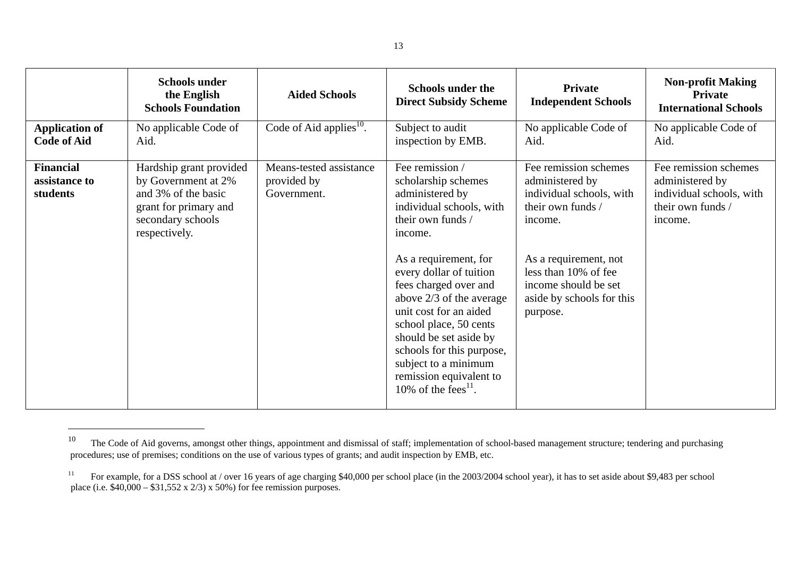| Code of Aid applies $^{10}$ .<br>No applicable Code of<br>Subject to audit<br>No applicable Code of<br><b>Application of</b><br><b>Code of Aid</b><br>inspection by EMB.<br>Aid.<br>Aid.<br>Aid.<br>Fee remission /<br>Fee remission schemes<br><b>Financial</b><br>Means-tested assistance<br>Hardship grant provided<br>by Government at 2%<br>provided by<br>administered by<br>assistance to<br>scholarship schemes<br>administered by<br>students<br>and 3% of the basic<br>Government.<br>administered by<br>individual schools, with<br>their own funds /<br>grant for primary and<br>individual schools, with<br>their own funds /<br>secondary schools<br>their own funds /<br>income.<br>income.<br>respectively.<br>income.<br>As a requirement, for<br>As a requirement, not<br>less than 10% of fee<br>every dollar of tuition<br>fees charged over and<br>income should be set | <b>Schools under</b><br>the English<br><b>Schools Foundation</b> | <b>Aided Schools</b> | <b>Schools under the</b><br><b>Direct Subsidy Scheme</b> | <b>Private</b><br><b>Independent Schools</b> | <b>Non-profit Making</b><br>Private<br><b>International Schools</b> |
|----------------------------------------------------------------------------------------------------------------------------------------------------------------------------------------------------------------------------------------------------------------------------------------------------------------------------------------------------------------------------------------------------------------------------------------------------------------------------------------------------------------------------------------------------------------------------------------------------------------------------------------------------------------------------------------------------------------------------------------------------------------------------------------------------------------------------------------------------------------------------------------------|------------------------------------------------------------------|----------------------|----------------------------------------------------------|----------------------------------------------|---------------------------------------------------------------------|
|                                                                                                                                                                                                                                                                                                                                                                                                                                                                                                                                                                                                                                                                                                                                                                                                                                                                                              |                                                                  |                      |                                                          |                                              | No applicable Code of                                               |
| unit cost for an aided<br>purpose.<br>school place, 50 cents<br>should be set aside by<br>schools for this purpose,<br>subject to a minimum<br>remission equivalent to<br>10% of the fees <sup>11</sup> .                                                                                                                                                                                                                                                                                                                                                                                                                                                                                                                                                                                                                                                                                    |                                                                  |                      | above $2/3$ of the average                               | aside by schools for this                    | Fee remission schemes<br>individual schools, with                   |

<sup>10</sup> The Code of Aid governs, amongst other things, appointment and dismissal of staff; implementation of school-based management structure; tendering and purchasing procedures; use of premises; conditions on the use of various types of grants; and audit inspection by EMB, etc.

<span id="page-11-1"></span><span id="page-11-0"></span><sup>&</sup>lt;sup>11</sup> For example, for a DSS school at / over 16 years of age charging \$40,000 per school place (in the 2003/2004 school year), it has to set aside about \$9,483 per school place (i.e.  $$40,000 - $31,552 \times 2/3$ ) x 50%) for fee remission purposes.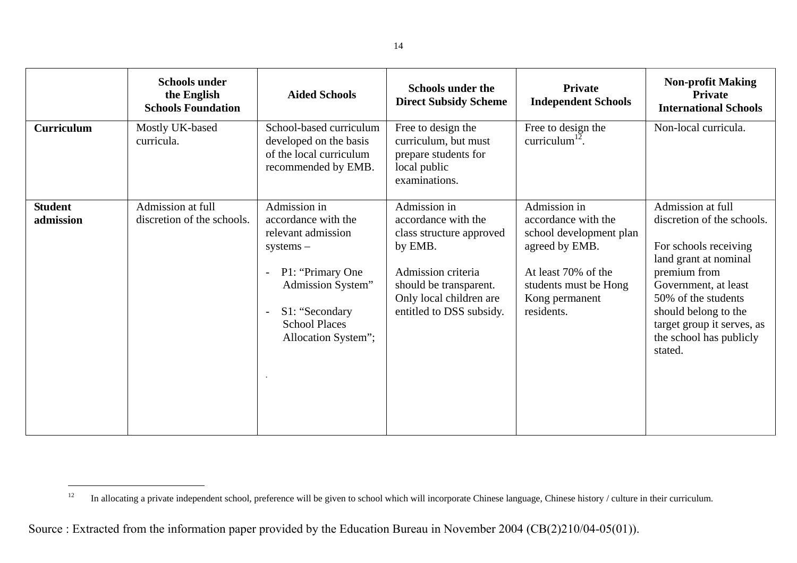|                             | <b>Schools under</b><br>the English<br><b>Schools Foundation</b> | <b>Aided Schools</b>                                                                                                                                                                                           | <b>Schools under the</b><br><b>Direct Subsidy Scheme</b>                                                                                                                          | Private<br><b>Independent Schools</b>                                                                                                                            | <b>Non-profit Making</b><br>Private<br><b>International Schools</b>                                                                                                                                                                                          |
|-----------------------------|------------------------------------------------------------------|----------------------------------------------------------------------------------------------------------------------------------------------------------------------------------------------------------------|-----------------------------------------------------------------------------------------------------------------------------------------------------------------------------------|------------------------------------------------------------------------------------------------------------------------------------------------------------------|--------------------------------------------------------------------------------------------------------------------------------------------------------------------------------------------------------------------------------------------------------------|
| <b>Curriculum</b>           | Mostly UK-based<br>curricula.                                    | School-based curriculum<br>developed on the basis<br>of the local curriculum<br>recommended by EMB.                                                                                                            | Free to design the<br>curriculum, but must<br>prepare students for<br>local public<br>examinations.                                                                               | Free to design the<br>curriculum $^{12}$ .                                                                                                                       | Non-local curricula.                                                                                                                                                                                                                                         |
| <b>Student</b><br>admission | Admission at full<br>discretion of the schools.                  | Admission in<br>accordance with the<br>relevant admission<br>$systems -$<br>P1: "Primary One<br>Admission System"<br>S1: "Secondary<br>$\overline{\phantom{0}}$<br><b>School Places</b><br>Allocation System"; | Admission in<br>accordance with the<br>class structure approved<br>by EMB.<br>Admission criteria<br>should be transparent.<br>Only local children are<br>entitled to DSS subsidy. | Admission in<br>accordance with the<br>school development plan<br>agreed by EMB.<br>At least 70% of the<br>students must be Hong<br>Kong permanent<br>residents. | Admission at full<br>discretion of the schools.<br>For schools receiving<br>land grant at nominal<br>premium from<br>Government, at least<br>50% of the students<br>should belong to the<br>target group it serves, as<br>the school has publicly<br>stated. |

<span id="page-12-0"></span><sup>&</sup>lt;sup>12</sup> In allocating a private independent school, preference will be given to school which will incorporate Chinese language, Chinese history / culture in their curriculum.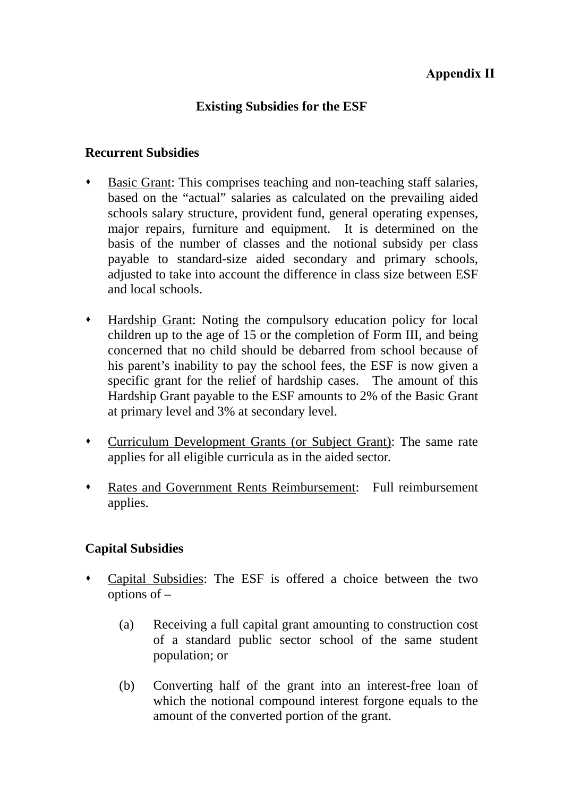# **Existing Subsidies for the ESF**

#### **Recurrent Subsidies**

- Basic Grant: This comprises teaching and non-teaching staff salaries, based on the "actual" salaries as calculated on the prevailing aided schools salary structure, provident fund, general operating expenses, major repairs, furniture and equipment. It is determined on the basis of the number of classes and the notional subsidy per class payable to standard-size aided secondary and primary schools, adjusted to take into account the difference in class size between ESF and local schools.
- Hardship Grant: Noting the compulsory education policy for local children up to the age of 15 or the completion of Form III, and being concerned that no child should be debarred from school because of his parent's inability to pay the school fees, the ESF is now given a specific grant for the relief of hardship cases. The amount of this Hardship Grant payable to the ESF amounts to 2% of the Basic Grant at primary level and 3% at secondary level.
- Curriculum Development Grants (or Subject Grant): The same rate applies for all eligible curricula as in the aided sector.
- Rates and Government Rents Reimbursement: Full reimbursement applies.

#### **Capital Subsidies**

- Capital Subsidies: The ESF is offered a choice between the two options of –
	- (a) Receiving a full capital grant amounting to construction cost of a standard public sector school of the same student population; or
	- (b) Converting half of the grant into an interest-free loan of which the notional compound interest forgone equals to the amount of the converted portion of the grant.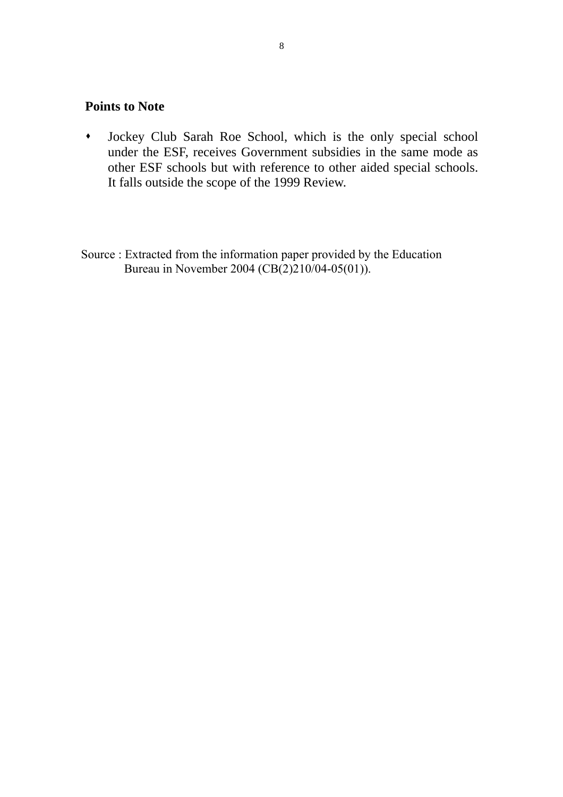#### **Points to Note**

- Jockey Club Sarah Roe School, which is the only special school under the ESF, receives Government subsidies in the same mode as other ESF schools but with reference to other aided special schools. It falls outside the scope of the 1999 Review.
- Source : Extracted from the information paper provided by the Education Bureau in November 2004 (CB(2)210/04-05(01)).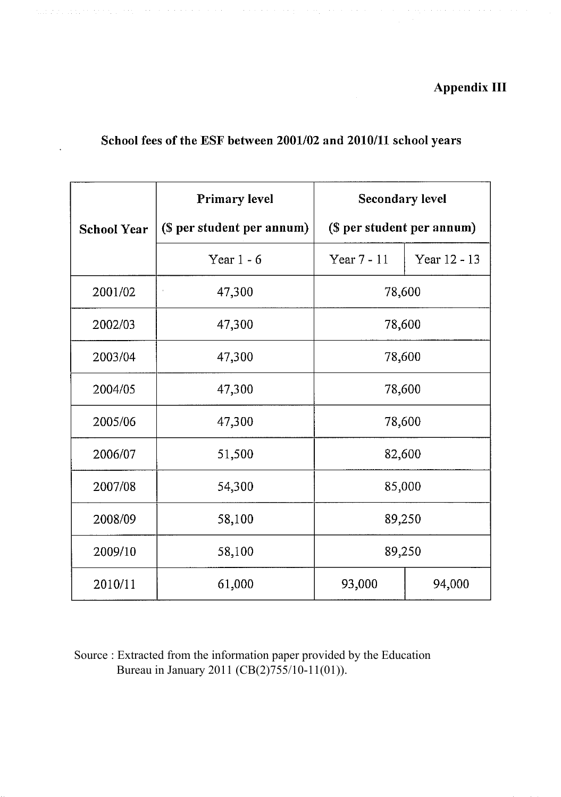# **Appendix III**

 $\alpha$  , we can assume that the same interesting the same  $\alpha$ 

# School fees of the ESF between 2001/02 and 2010/11 school years

التواصل والمتواردة والمواطن والمتواطن والمتوارد

 $\mathcal{A}$  is a subset of the set of the set of  $\mathcal{A}$  ,  $\mathcal{A}$ 

|                    | <b>Primary level</b>       | <b>Secondary level</b> |                            |  |
|--------------------|----------------------------|------------------------|----------------------------|--|
| <b>School Year</b> | (\$ per student per annum) |                        | (\$ per student per annum) |  |
|                    | Year $1 - 6$               | Year $7 - 11$          | Year 12 - 13               |  |
| 2001/02            | 47,300                     | 78,600                 |                            |  |
| 2002/03            | 47,300                     | 78,600                 |                            |  |
| 2003/04            | 47,300                     | 78,600                 |                            |  |
| 2004/05            | 47,300                     | 78,600                 |                            |  |
| 2005/06            | 47,300                     | 78,600                 |                            |  |
| 2006/07            | 51,500                     | 82,600                 |                            |  |
| 2007/08            | 54,300                     | 85,000                 |                            |  |
| 2008/09            | 58,100                     | 89,250                 |                            |  |
| 2009/10            | 58,100                     | 89,250                 |                            |  |
| 2010/11            | 61,000                     | 93,000<br>94,000       |                            |  |

Source : Extracted from the information paper provided by the Education<br>Bureau in January 2011 (CB(2)755/10-11(01)).